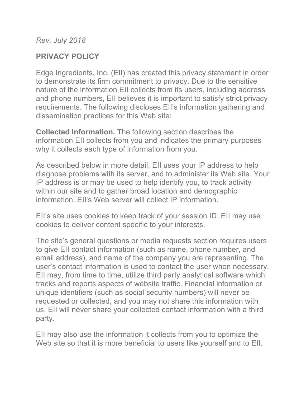*Rev. July 2018*

## **PRIVACY POLICY**

Edge Ingredients, Inc. (EII) has created this privacy statement in order to demonstrate its firm commitment to privacy. Due to the sensitive nature of the information EII collects from its users, including address and phone numbers, EII believes it is important to satisfy strict privacy requirements. The following discloses EII's information gathering and dissemination practices for this Web site:

**Collected Information.** The following section describes the information EII collects from you and indicates the primary purposes why it collects each type of information from you.

As described below in more detail, EII uses your IP address to help diagnose problems with its server, and to administer its Web site. Your IP address is or may be used to help identify you, to track activity within our site and to gather broad location and demographic information. EII's Web server will collect IP information.

EII's site uses cookies to keep track of your session ID. EII may use cookies to deliver content specific to your interests.

The site's general questions or media requests section requires users to give EII contact information (such as name, phone number, and email address), and name of the company you are representing. The user's contact information is used to contact the user when necessary. EII may, from time to time, utilize third party analytical software which tracks and reports aspects of website traffic. Financial information or unique identifiers (such as social security numbers) will never be requested or collected, and you may not share this information with us. EII will never share your collected contact information with a third party.

EII may also use the information it collects from you to optimize the Web site so that it is more beneficial to users like yourself and to EII.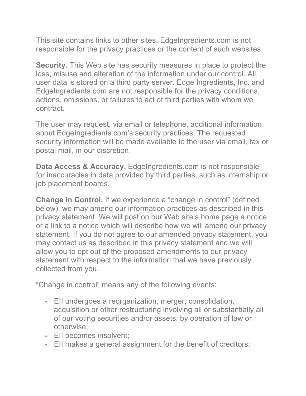This site contains links to other sites. EdgeIngredients.com is not responsible for the privacy practices or the content of such websites.

**Security.** This Web site has security measures in place to protect the loss, misuse and alteration of the information under our control. All user data is stored on a third party server. Edge Ingredients, Inc. and EdgeIngredients.com are not responsible for the privacy conditions, actions, omissions, or failures to act of third parties with whom we contract.

The user may request, via email or telephone, additional information about EdgeIngredients.com's security practices. The requested security information will be made available to the user via email, fax or postal mail, in our discretion.

**Data Access & Accuracy.** EdgeIngredients.com is not responsible for inaccuracies in data provided by third parties, such as internship or job placement boards.

**Change in Control.** If we experience a "change in control" (defined below), we may amend our information practices as described in this privacy statement. We will post on our Web site's home page a notice or a link to a notice which will describe how we will amend our privacy statement. If you do not agree to our amended privacy statement, you may contact us as described in this privacy statement and we will allow you to opt out of the proposed amendments to our privacy statement with respect to the information that we have previously collected from you.

"Change in control" means any of the following events:

- EII undergoes a reorganization, merger, consolidation, acquisition or other restructuring involving all or substantially all of our voting securities and/or assets, by operation of law or otherwise;
- EII becomes insolvent;
- EII makes a general assignment for the benefit of creditors;